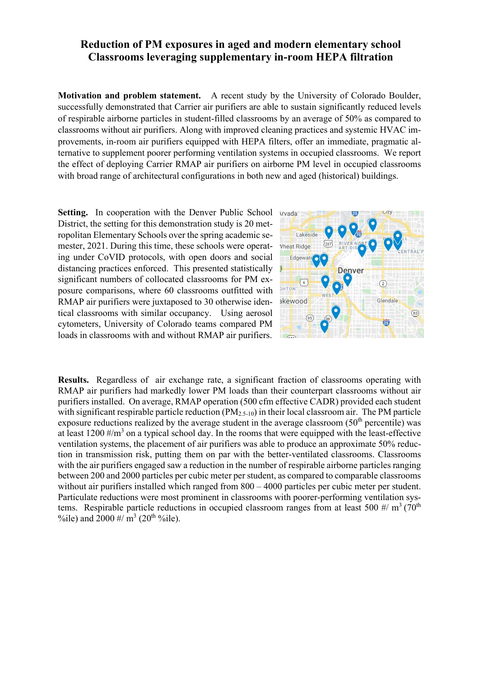## **Reduction of PM exposures in aged and modern elementary school Classrooms leveraging supplementary in-room HEPA filtration**

**Motivation and problem statement.** A recent study by the University of Colorado Boulder, successfully demonstrated that [Carrier air purifiers](https://www.carrierathome.com/) are able to sustain significantly reduced levels of respirable airborne particles in student-filled classrooms by an average of 50% as compared to classrooms without air purifiers. Along with improved cleaning practices and systemic HVAC improvements, in-room air purifiers equipped with HEPA filters, offer an immediate, pragmatic alternative to supplement poorer performing ventilation systems in occupied classrooms. We report the effect of deploying Carrier RMAP air purifiers on airborne PM level in occupied classrooms with broad range of architectural configurations in both new and aged (historical) buildings.

Setting. In cooperation with the Denver Public School Arvada District, the setting for this demonstration study is 20 metropolitan Elementary Schools over the spring academic semester, 2021. During this time, these schools were operating under CoVID protocols, with open doors and social distancing practices enforced. This presented statistically significant numbers of collocated classrooms for PM exposure comparisons, where 60 classrooms outfitted with RMAP air purifiers were juxtaposed to 30 otherwise identical classrooms with similar occupancy. Using aerosol cytometers, University of Colorado teams compared PM loads in classrooms with and without RMAP air purifiers.



**Results.** Regardless of air exchange rate, a significant fraction of classrooms operating with RMAP air purifiers had markedly lower PM loads than their counterpart classrooms without air purifiers installed. On average, RMAP operation (500 cfm effective CADR) provided each student with significant respirable particle reduction  $(PM_{2.5-10})$  in their local classroom air. The PM particle exposure reductions realized by the average student in the average classroom  $(50<sup>th</sup>$  percentile) was at least  $1200 \#/m^3$  on a typical school day. In the rooms that were equipped with the least-effective ventilation systems, the placement of air purifiers was able to produce an approximate 50% reduction in transmission risk, putting them on par with the better-ventilated classrooms. Classrooms with the air purifiers engaged saw a reduction in the number of respirable airborne particles ranging between 200 and 2000 particles per cubic meter per student, as compared to comparable classrooms without air purifiers installed which ranged from  $800 - 4000$  particles per cubic meter per student. Particulate reductions were most prominent in classrooms with poorer-performing ventilation systems. Respirable particle reductions in occupied classroom ranges from at least 500  $\#$ / m<sup>3</sup> (70<sup>th</sup>) %ile) and  $2000 \frac{\text{H}}{\text{m}^3}$  (20<sup>th o</sup>/ile).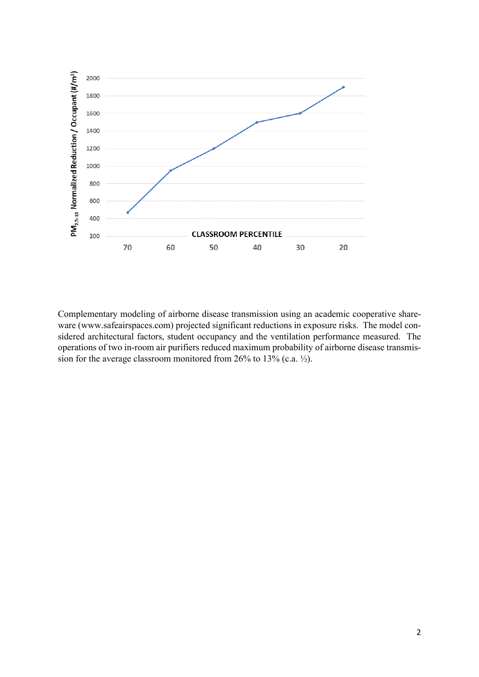

Complementary modeling of airborne disease transmission using an academic cooperative shareware (www.safeairspaces.com) projected significant reductions in exposure risks. The model considered architectural factors, student occupancy and the ventilation performance measured. The operations of two in-room air purifiers reduced maximum probability of airborne disease transmission for the average classroom monitored from 26% to 13% (c.a. ½).